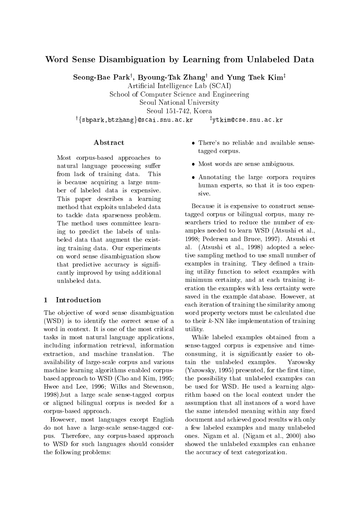# Word Sense Disambiguation by Learning from Unlabeled Data

Seong-Bae Parky , Byoung-Tak Zhangy and Yung Taek Kimz

Articial Intelligence Lab (SCAI)

School of Computer Science and Engineering Seoul National University

Seoul 151-742, Korea

 $^\dagger\{$ sbpark,btzhang $\}$ @scai.snu.ac.kr  $^\dagger$ ytkim@cse.snu.ac.kr

## Abstract

Most corpus-based approaches to natural language processing suffer from lack of training data. This is because acquiring a large number of labeled data is expensive. This paper describes a learning method that exploits unlabeled data to tackle data sparseness problem. The method uses committee learning to predict the labels of unlabeled data that augment the existing training data. Our experiments on word sense disambiguation show that predictive accuracy is significantly improved by using additional unlabeled data.

#### **Introduction**  $\mathbf{1}$

The objective of word sense disambiguation (WSD) is to identify the correct sense of a word in context. It is one of the most critical tasks in most natural language applications, including information retrieval, information extraction, and machine translation. The availability of large-scale corpus and various machine learning algorithms enabled corpusbased approach to WSD (Cho and Kim, 1995; Hwee and Lee, 1996; Wilks and Stevenson, 1998),but a large scale sense-tagged corpus or aligned bilingual corpus is needed for a corpus-based approach.

However, most languages except English do not have a large-scale sense-tagged corpus. Therefore, any corpus-based approach to WSD for such languages should consider the following problems:

- There's no reliable and available sensetagged corpus.
- Most words are sense ambiguous.
- Annotating the large corpora requires human experts, so that it is too expensive.

Because it is expensive to construct sensetagged corpus or bilingual corpus, many researchers tried to reduce the number of examples needed to learn WSD (Atsushi et al., 1998; Pedersen and Bruce, 1997). Atsushi et al. (Atsushi et al., 1998) adopted a selective sampling method to use small number of examples in training. They defined a training utility function to select examples with minimum certainty, and at each training iteration the examples with less certainty were saved in the example database. However, at each iteration of training the similarity among word property vectors must be calculated due to their k-NN like implementation of training utility.

While labeled examples obtained from a sense-tagged corpus is expensive and timeconsuming, it is signicantly easier to obtain the unlabeled examples. Yarowsky  $(Yarowsky, 1995)$  presented, for the first time, the possibility that unlabeled examples can be used for WSD. He used a learning algorithm based on the local context under the assumption that all instances of a word have the same intended meaning within any fixed document and achieved good results with only a few labeled examples and many unlabeled ones. Nigam et al. (Nigam et al., 2000) also showed the unlabeled examples can enhance the accuracy of text categorization.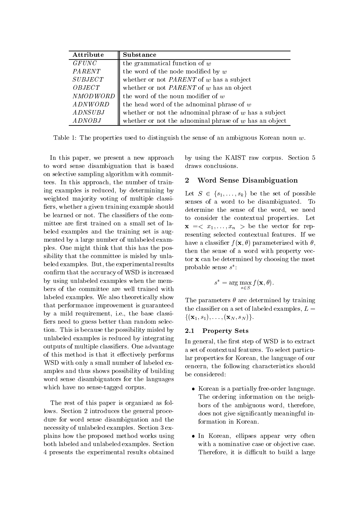| Attribute       | <b>Substance</b>                                         |
|-----------------|----------------------------------------------------------|
| <b>GFUNC</b>    | the grammatical function of $w$                          |
| PARENT          | the word of the node modified by $w$                     |
| <b>SUBJECT</b>  | whether or not $PARENT$ of w has a subject               |
| OBJECT          | whether or not $PARENT$ of w has an object               |
| <b>NMODWORD</b> | the word of the noun modifier of $w$                     |
| <i>ADNWORD</i>  | the head word of the adnominal phrase of $w$             |
| <b>ADNSUBJ</b>  | whether or not the adnominal phrase of $w$ has a subject |
| <b>ADNOBJ</b>   | whether or not the adnominal phrase of $w$ has an object |

Table 1: The properties used to distinguish the sense of an ambiguous Korean noun w.

In this paper, we present a new approach to word sense disambiguation that is based on selective sampling algorithm with committees. In this approach, the number of training examples is reduced, by determining by weighted majority voting of multiple classifiers, whether a given training example should be learned or not. The classifiers of the committee are first trained on a small set of labeled examples and the training set is augmented by a large number of unlabeled examples. One might think that this has the possibility that the committee is misled by unlabeled examples. But, the experimental results confirm that the accuracy of WSD is increased by using unlabeled examples when the members of the committee are well trained with labeled examples. We also theoretically show that performance improvement is guaranteed by a mild requirement, i.e., the base classi fiers need to guess better than random selection. This is because the possibility misled by 2.1 unlabeled examples is reduced by integrating outputs of multiple classiers. One advantage of this method is that it effectively performs WSD with only a small number of labeled examples and thus shows possibility of building word sense disambiguators for the languages which have no sense-tagged corpus.

The rest of this paper is organized as follows. Section 2 introduces the general procedure for word sense disambiguation and the necessity of unlabeled examples. Section 3 explains how the proposed method works using both labeled and unlabeled examples. Section 4 presents the experimental results obtained by using the KAIST raw corpus. Section 5 draws conclusions.

#### 2 Word Sense Disambiguation

Let <sup>S</sup> 2 fs1;:::;skg be the set of possible senses of a word to be disambiguated. To determine the sense of the word, we need to consider the contextual properties. Let  $\mathbf{x}$  =<  $x_1,\ldots,x_n$  > be the vector for representing selected contextual features. If we have a classifier  $f(\mathbf{x}, \theta)$  parameterized with  $\theta$ . then the sense of a word with property vector x can be determined by choosing the most probable sense <sup>s</sup> :

$$
s^* = \arg\max_{s \in S} f(\mathbf{x}, \theta).
$$

The parameters  $\theta$  are determined by training the classifier on a set of labeled examples,  $L =$  $\{(\mathbf{x}_1, s_1), \ldots, (\mathbf{x}_N, s_N)\}.$ 

#### **Property Sets**

In general, the first step of WSD is to extract a set of contextual features. To select particular properties for Korean, the language of our cencern, the following characteristics should be considered:

- Korean is a partially free-order language. The ordering information on the neighbors of the ambiguous word, therefore, does not give signicantly meaningful information in Korean.
- In Korean, ellipses appear very often with a nominative case or objective case. Therefore, it is difficult to build a large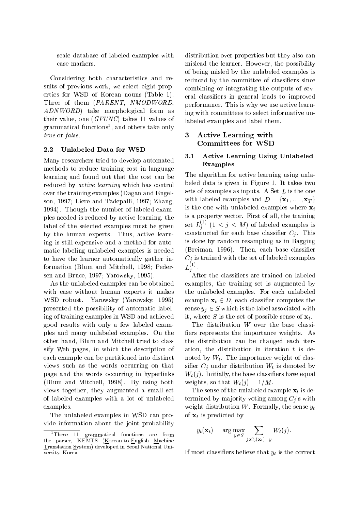scale database of labeled examples with case markers.

Considering both characteristics and results of previous work, we select eight properties for WSD of Korean nouns (Table 1). Three of them (PARENT, NMODWORD, ADNWORD) take morphological form as their value, one (GFUNC) takes 11 values of grammatical functions<sup>-</sup>, and others take only true or false.

#### 2.2 Unlabeled Data for WSD

Many researchers tried to develop automated methods to reduce training cost in language learning and found out that the cost can be reduced by active learning which has control over the training examples (Dagan and Engelson, 1997; Liere and Tadepalli, 1997; Zhang, 1994). Though the number of labeled examples needed is reduced by active learning, the label of the selected examples must be given by the human experts. Thus, active learning is still expensive and a method for automatic labeling unlabeled examples is needed to have the learner automatically gather information (Blum and Mitchell, 1998; Pedersen and Bruce, 1997; Yarowsky, 1995).

As the unlabeled examples can be obtained with ease without human experts it makes WSD robust. Yarowsky (Yarowsky, 1995) presented the possibility of automatic labeling of training examples in WSD and achieved good results with only a few labeled examples and many unlabeled examples. On the other hand, Blum and Mitchell tried to classify Web pages, in which the description of each example can be partitioned into distinct views such as the words occurring on that page and the words occurring in hyperlinks (Blum and Mitchell, 1998). By using both views together, they augmented a small set of labeled examples with a lot of unlabeled examples.

The unlabeled examples in WSD can provide information about the joint probability distribution over properties but they also can mislead the learner. However, the possibility of being misled by the unlabeled examples is reduced by the committee of classiers since combining or integrating the outputs of several classiers in general leads to improved performance. This is why we use active learning with committees to select informative unlabeled examples and label them.

#### 3 Active Learning with Committees for WSD

### 3.1 Active Learning Using Unlabeled Examples

The algorithm for active learning using unlabeled data is given in Figure 1. It takes two sets of examples as inputs. A Set <sup>L</sup> is the one with labeled examples and  $D = {\mathbf{x}_1, \dots, \mathbf{x}_T}$ is the one with unlabeled examples where  $x_i$ is a property vector. First of all, the training set  $L_j^\frown$  (1  $\leq$   $j \leq M$ ) of labeled examples is constructed for each base classifier  $C_i$ . This is done by random resampling as in Bagging (Breiman, 1996). Then, each base classier  $C_i$  is trained with the set of labeled examples  $L_i^{\gamma}$  . The contract of  $L_i$ 

<sup>j</sup> . After the classiers are trained on labeled examples, the training set is augmented by the unlabeled examples. For each unlabeled example  $\mathbf{x}_t \in D$ , each classifier computes the sense  $y_i \in S$  which is the label associated with it, where S is the set of possible sense of  $\mathbf{x}_t$ .

The distribution  $W$  over the base classifiers represents the importance weights. As the distribution can be changed each iteration, the distribution in iteration  $t$  is denoted by  $W_t$ . The importance weight of classifier  $C_i$  under distribution  $W_t$  is denoted by  $W_t(j)$ . Initially, the base classifiers have equal weights, so that  $W_t(i)=1/M$ .

The sense of the unlabeled example  $\mathbf{x}_t$  is determined by majority voting among  $C_i$ 's with weight distribution  $W$ . Formally, the sense  $y_t$ of  $\mathbf{x}_t$  is predicted by

$$
y_t(\mathbf{x}_t) = \arg \max_{y \in S} \sum_{j: C_j(\mathbf{x}_t) = y} W_t(j).
$$

If most classifiers believe that  $y_t$  is the correct

<sup>1</sup>These <sup>11</sup> grammatical functions are from the parser, KEMTS (Korean-to-English Machine Translation System) developed in Seoul National University, Korea.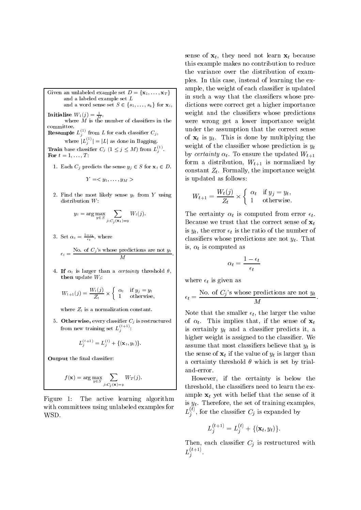Given an unlabeled example set  $D = \{ \mathbf{x}_1, \ldots, \mathbf{x}_T \} \quad | \quad \cdots$ and a labeled example setand a word sense set  $S \in \{s_1,\ldots,s_k\}$  for  $\mathbf{x}_i,$ **Initialize**  $W_1(j) = \frac{1}{M}$ where  $M$  is the number of classifiers in the  $\parallel$  W committee.**Resample**  $L_i^{(1)}$  from L for each classifier  $C_i$ , je poznata u predstavanje u predstavanje po predstavanje u predstavanje u predstavanje u predstavanje u predst where  $|L_j^{(1)}| = |L|$  as done in Bagging. **Train** base classifier  $C_j$   $(1 \leq j \leq M)$  from  $L_j^{(1)}$ . For  $t = 1, \ldots, T$ :

1. Each  $C_i$  predicts the sense  $y_i \in S$  for  $\mathbf{x}_t \in D$ .

$$
Y=
$$

 $2.$  Find the most most sense yt from  $2.$  using  $1$ 

$$
y_t = \arg \max_{y \in S} \sum_{j: C_j(\mathbf{x}_t) = y} W_t(j).
$$

3. Set  $\alpha_t = \frac{1}{\epsilon_t}$ , where

$$
\epsilon_t = \frac{\text{No. of } C_j \text{'s whose predictions are not } y_t}{M}.
$$

 $\mathbf{f}$  is the sumplement and correlating the central  $\mathbf{f}$  ,  $\mathbf{f}$ then update  $W_t$ :

$$
W_{t+1}(j) = \frac{W_t(j)}{Z_t} \times \begin{cases} \alpha_t & \text{if } y_j = y_t \\ 1 & \text{otherwise,} \end{cases}
$$

where  $z_t$  is a normalization constant.

 $5.$  Otherwise, every classifier  $C<sub>i</sub>$  is restructured  $1 - 01$  ( from new training set  $L_j^{\text{max}}$ :

$$
L_j^{(t+1)} = L_j^{(t)} + \{(\mathbf{x}_t, y_t)\}.
$$

Output the final classifier:

$$
f(\mathbf{x}) = \arg \max_{y \in S} \sum_{j:C_j(\mathbf{x}) = y} W_T(j).
$$

Figure 1: The active learning algorithm with committees using unlabeled examples for WSD.

sense of  $\mathbf{x}_t$ , they need not learn  $\mathbf{x}_t$  because this example makes no contribution to reduce the variance over the distribution of examples. In this case, instead of learning the example, the weight of each classier is updated in such a way that the classiers whose predictions were correct get a higher importance weight and the classifiers whose predictions were wrong get a lower importance weight under the assumption that the correct sense of  $x_t$  is  $y_t$ . This is done by multiplying the weight of the classifier whose prediction is  $y_t$ by certainty  $\alpha_t$ . To ensure the updated  $W_{t+1}$ form a distribution,  $W_{t+1}$  is normalized by constant  $Z_t$ . Formally, the importance weight is updated as follows:

$$
W_{t+1} = \frac{W_t(j)}{Z_t} \times \begin{cases} \alpha_t & \text{if } y_j = y_t, \\ 1 & \text{otherwise.} \end{cases}
$$

The certainty  $\alpha_t$  is computed from error  $\epsilon_t$ . Because we trust that the correct sense of  $\mathbf{x}_t$ is  $y_t$ , the error  $\epsilon_t$  is the ratio of the number of classifiers whose predictions are not  $y_t$ . That is,  $\alpha_t$  is computed as

$$
\alpha_t = \frac{1-\epsilon_t}{\epsilon_t}
$$

where  $\epsilon_t$  is given as

<sup>j</sup>

<sup>j</sup>

$$
\epsilon_t = \frac{\text{No. of } C_j \text{'s whose predictions are not } y_t}{M}.
$$

Note that the smaller  $\epsilon_t$ , the larger the value of  $\alpha_t$ . This implies that, if the sense of  $\mathbf{x}_t$ is certainly  $y_t$  and a classifier predicts it, a higher weight is assigned to the classifier. We assume that most classifiers believe that  $y_t$  is the sense of  $\mathbf{x}_t$  if the value of  $y_t$  is larger than a certainty threshold  $\theta$  which is set by trialand-error.

However, if the certainty is below the threshold, the classiers need to learn the example  $\mathbf{x}_t$  yet with belief that the sense of it is  $y_t$ . Therefore, the set of training examples,  $L_i^{\gamma}$ , for the classifier  $C_i$  is expanded by

$$
L_j^{(t+1)} = L_j^{(t)} + \{(\mathbf{x}_t, y_t)\}.
$$

Then, each classifier  $C_i$  is restructured with  $L_i^{\text{max}}$ .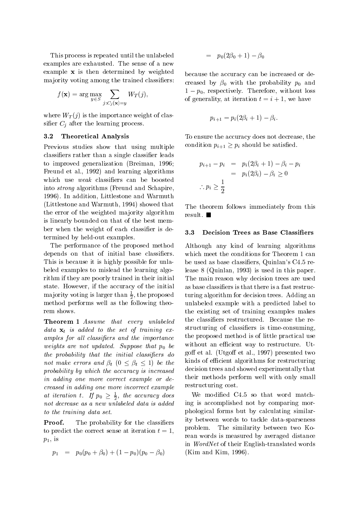This process is repeated until the unlabeled examples are exhausted. The sense of a new example x is then determined by weighted majority voting among the trained classifiers:

$$
f(\mathbf{x}) = \arg \max_{y \in S} \sum_{j:C_j(\mathbf{x}) = y} W_T(j),
$$

where  $W_T(j)$  is the importance weight of classifier  $C_i$  after the learning process.

#### 3.2 Theoretical Analysis

Previous studies show that using multiple classifiers rather than a single classifier leads to improved generalization (Breiman, 1996; Freund et al., 1992) and learning algorithms which use *weak* classifiers can be boosted into strong algorithms (Freund and Schapire, 1996). In addition, Littlestone and Warmuth (Littlestone and Warmuth, 1994) showed that the error of the weighted majority algorithm is linearly bounded on that of the best member when the weight of each classifier is determined by held-out examples.

The performance of the proposed method depends on that of initial base classifiers. This is because it is highly possible for unlabeled examples to mislead the learning algorithm if they are poorly trained in their initial state. However, if the accuracy of the initial  $max$  indicate than  $\frac{1}{6}$ , the proposed turing method performs well as the following theo-

Theorem 1 Assume that every unlabeled data  $x_t$  is added to the set of training examples for all classifiers and the importance weights are not updated. Suppose that  $p_0$  be the probability that the initial classifiers do not make errors and  $\beta_t$   $(0 \leq \beta_t \leq 1)$  be the probability by which the accuracy is increased in adding one more correct example or decreased in adding one more incorrect example at iteration t. If  $p_0 \geq \frac{1}{2}$ , the accuracy does not decrease as a new unlabeled data is added to the training data set.

**Proof.** The probability for the classifiers to predict the correct sense at iteration  $t = 1$ ,  $p_1$ , is

$$
p_1 = p_0(p_0 + \beta_0) + (1 - p_0)(p_0 - \beta_0) \qquad (K
$$

$$
\quad=\quad p_0(2\beta_0+1)-\beta_0
$$

because the accuracy can be increased or decreased by  $\beta_0$  with the probability  $p_0$  and 1 p0, respectively. Therefore, without loss of generality, at iteration  $t = i + 1$ , we have

$$
p_{i+1} = p_i(2\beta_i + 1) - \beta_i.
$$

To ensure the accuracy does not decrease, the condition  $p_{i+1} \geq p_i$  should be satisfied.

$$
p_{i+1} - p_i = p_i(2\beta_i + 1) - \beta_i - p_i
$$
  
=  $p_i(2\beta_i) - \beta_i \ge 0$   
 $\therefore p_i \ge \frac{1}{2}$ 

The theorem follows immediately from this result.

#### $3.3$ Decision Trees as Base Classifiers

Although any kind of learning algorithms which meet the conditions for Theorem 1 can be used as base classiers, Quinlan's C4.5 release 8 (Quinlan, 1993) is used in this paper. The main reason why decision trees are used as base classiers is that there is a fast restructuring algorithm for decision trees. Adding an unlabeled example with a predicted label to the existing set of training examples makes the classiers restructured. Because the restructuring of classiers is time-consuming, the proposed method is of little practical use without an efficient way to restructure. Utgoff et al. (Utgoff et al., 1997) presented two kinds of efficient algorithms for restructuring decision trees and showed experimentally that their methods perform well with only small restructuring cost.

We modified C4.5 so that word matching is accomplished not by comparing morphological forms but by calculating similarity between words to tackle data-sparseness problem. The similarity between two Korean words is measured by averaged distance in WordNet of their English-translated words (Kim and Kim, 1996).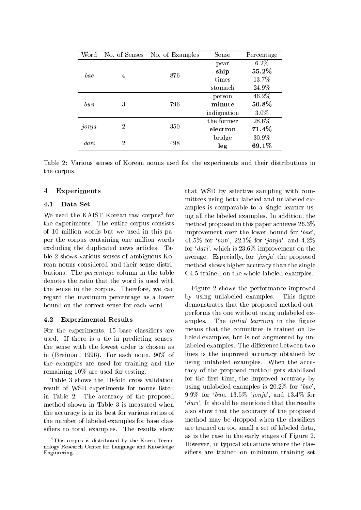| Word     | No. of Senses  | No. of Examples | Sense       | Percentage |
|----------|----------------|-----------------|-------------|------------|
| bae      | 4              | 876             | pear        | $6.2\%$    |
|          |                |                 | ship        | 55.2%      |
|          |                |                 | times       | 13.7%      |
|          |                |                 | stomach     | 24.9%      |
| $_{bun}$ | 3              | 796             | person      | 46.2%      |
|          |                |                 | minute      | 50.8%      |
|          |                |                 | indignation | $3.0\%$    |
| jonja    | 2              | 350             | the former  | 28.6%      |
|          |                |                 | electron    | 71.4%      |
| dari     | $\overline{2}$ | 498             | bridge      | 30.9%      |
|          |                |                 | leg         | 69.1%      |

Table 2: Various senses of Korean nouns used for the experiments and their distributions in the corpus.

#### 4 Experiments

#### 4.1 Data Set

We used the KAIST Korean raw corpus<sup>2</sup> for the experiments. The entire corpus consists of 10 million words but we used in this paper the corpus containing one million words excluding the duplicated news articles. Table 2 shows various senses of ambiguous Korean nouns considered and their sense distributions. The percentage column in the table denotes the ratio that the word is used with the sense in the corpus. Therefore, we can regard the maximum percentage as a lower bound on the correct sense for each word.

#### 4.2 Experimental Results

For the experiments, 15 base classifiers are used. If there is a tie in predicting senses, the sense with the lowest order is chosen as in (Breiman, 1996). For each noun, 90% of the examples are used for training and the remaining 10% are used for testing.

Table 3 shows the 10-fold cross validation result of WSD experiments for nouns listed in Table 2. The accuracy of the proposed method shown in Table 3 is measured when the accuracy is in its best for various ratios of the number of labeled examples for base classifiers to total examples. The results show

for ing all the labeled examples. In addition, the that WSD by selective sampling with committees using both labeled and unlabeled examples is comparable to a single learner usmethod proposed in this paper achieves 26.3% improvement over the lower bound for  $'bae'$ , 41.5% for 'bun', 22.1% for 'jonja', and  $4.2\%$ for 'dari', which is  $23.6\%$  improvement on the average. Especially, for 'jonja' the proposed method shows higher accuracy than the single C4.5 trained on the whole labeled examples.

> Figure 2 shows the performance improved by using unlabeled examples. This figure demonstrates that the proposed method outperforms the one without using unlabeled examples. The *initial learning* in the figure means that the committee is trained on labeled examples, but is not augmented by unlabeled examples. The difference between two lines is the improved accuracy obtained by using unlabeled examples. When the accuracy of the proposed method gets stabilized for the first time, the improved accuracy by using unlabeled examples is  $20.2\%$  for 'bae', 9.9% for  $bun$ , 13.5%  $jonja$ , and 13.4% for 'dari'. It should be mentioned that the results also show that the accuracy of the proposed method may be dropped when the classifiers are trained on too small a set of labeled data, as is the case in the early stages of Figure 2. However, in typical situations where the classifiers are trained on minimum training set

<sup>2</sup>This corpus is distributed by the Korea Terminology Research Center for Language and KnowledgeEngineering.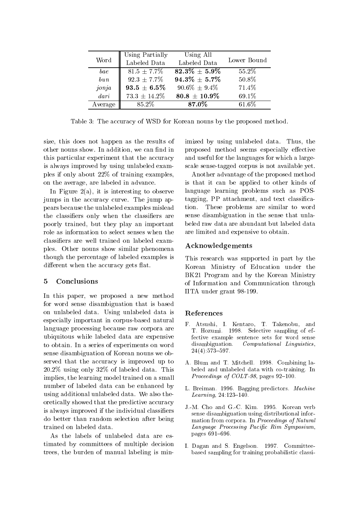| Word              | Using Partially   | Using All          |             |
|-------------------|-------------------|--------------------|-------------|
|                   | Labeled Data      | Labeled Data       | Lower Bound |
| bae               | $81.5 \pm 7.7\%$  | $82.3\% \pm 5.9\%$ | 55.2\%      |
| b u n             | $92.3 \pm 7.7\%$  | $94.3\% \pm 5.7\%$ | 50.8%       |
| jonja             | $93.5 \pm 6.5\%$  | $90.6\% \pm 9.4\%$ | 71.4%       |
| $\overline{dari}$ | $73.3 \pm 14.2\%$ | $80.8 \pm 10.9\%$  | 69.1%       |
| Average           | 85.2%             | 87.0%              | 61.6%       |

Table 3: The accuracy of WSD for Korean nouns by the proposed method.

size, this does not happen as the results of other nouns show. In addition, we can find in this particular experiment that the accuracy is always improved by using unlabeled examples if only about 22% of training examples, on the average, are labeled in advance.

In Figure 2(a), it is interesting to observe jumps in the accuracy curve. The jump appears because the unlabeled examples mislead the classifiers only when the classifiers are poorly trained, but they play an important role as information to select senses when the classiers are well trained on labeled examples. Other nouns show similar phenomena though the percentage of labeled examples is different when the accuracy gets flat.

#### 5 Conclusions

In this paper, we proposed a new method for word sense disambiguation that is based on unlabeled data. Using unlabeled data is especially important in corpus-based natural language processing because raw corpora are ubiquitous while labeled data are expensive to obtain. In a series of experiments on word sense disambiguation of Korean nouns we observed that the accuracy is improved up to 20.2% using only 32% of labeled data. This implies, the learning model trained on a small number of labeled data can be enhanced by using additional unlabeled data. We also theoretically showed that the predictive accuracy is always improved if the individual classiers do better than random selection after being trained on labeled data.

As the labels of unlabeled data are estimated by committees of multiple decision trees, the burden of manual labeling is minimized by using unlabeled data. Thus, the proposed method seems especially effective and useful for the languages for which a largescale sense-tagged corpus is not available yet.

Another advantage of the proposed method is that it can be applied to other kinds of language learning problems such as POStagging, PP attachment, and text classication. These problems are similar to word sense disambiguation in the sense that unlabeled raw data are abundant but labeled data are limited and expensive to obtain.

#### Acknowledgements

This research was supported in part by the Korean Ministry of Education under the BK21 Program and by the Korean Ministry of Information and Communication through IITA under grant 98-199.

#### References

- F. Atsushi, I. Kentaro, T. Takenobu, and T. Hozumi. 1998. Selective sampling of effective example sentence sets for word sense disambiguation. Computational Linguistics,  $24(4):573{\text -}597.$
- A. Blum and T. Mitchell. 1998. Combining labeled and unlabeled data with co-training. In Proceedings of  $COLT-98$ , pages  $92-100$ .
- L. Breiman. 1996. Bagging predictors. Machine Learning,  $24:123-140$ .
- J.-M. Cho and G.-C. Kim. 1995. Korean verb sense disambiguation using distributional information from corpora. In Proceedings of Natural Language Processing Pacic Rim Symposium, pages 691-696.
- I. Dagan and S. Engelson. 1997. Committeebased sampling for training probabilistic classi-